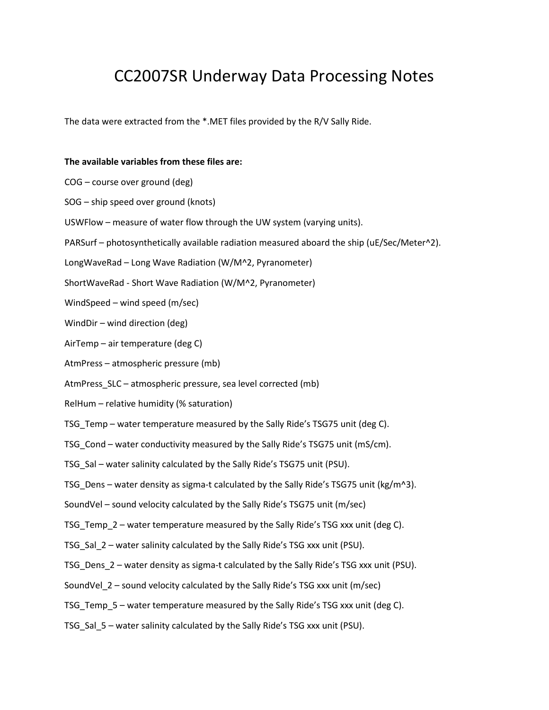# CC2007SR Underway Data Processing Notes

The data were extracted from the \*.MET files provided by the R/V Sally Ride.

#### **The available variables from these files are:**

- COG course over ground (deg)
- SOG ship speed over ground (knots)
- USWFlow measure of water flow through the UW system (varying units).
- PARSurf photosynthetically available radiation measured aboard the ship (uE/Sec/Meter^2).
- LongWaveRad Long Wave Radiation (W/M^2, Pyranometer)
- ShortWaveRad Short Wave Radiation (W/M^2, Pyranometer)
- WindSpeed wind speed (m/sec)
- WindDir wind direction (deg)
- AirTemp air temperature (deg C)
- AtmPress atmospheric pressure (mb)
- AtmPress SLC atmospheric pressure, sea level corrected (mb)
- RelHum relative humidity (% saturation)
- TSG Temp water temperature measured by the Sally Ride's TSG75 unit (deg C).
- TSG Cond water conductivity measured by the Sally Ride's TSG75 unit (mS/cm).
- TSG\_Sal water salinity calculated by the Sally Ride's TSG75 unit (PSU).
- TSG Dens water density as sigma-t calculated by the Sally Ride's TSG75 unit (kg/m^3).
- SoundVel sound velocity calculated by the Sally Ride's TSG75 unit (m/sec)
- TSG Temp 2 water temperature measured by the Sally Ride's TSG xxx unit (deg C).
- TSG Sal 2 water salinity calculated by the Sally Ride's TSG xxx unit (PSU).
- TSG Dens 2 water density as sigma-t calculated by the Sally Ride's TSG xxx unit (PSU).
- SoundVel\_2 sound velocity calculated by the Sally Ride's TSG xxx unit (m/sec)
- TSG Temp 5 water temperature measured by the Sally Ride's TSG xxx unit (deg C).
- TSG\_Sal\_5 water salinity calculated by the Sally Ride's TSG xxx unit (PSU).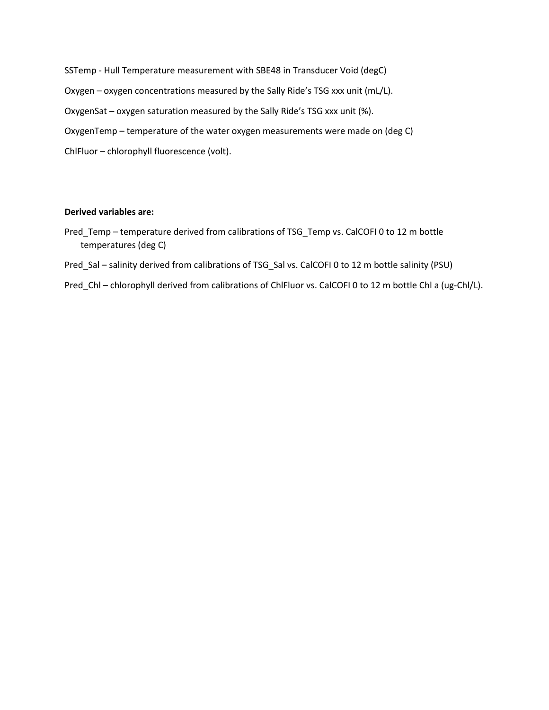SSTemp - Hull Temperature measurement with SBE48 in Transducer Void (degC) Oxygen – oxygen concentrations measured by the Sally Ride's TSG xxx unit (mL/L). OxygenSat – oxygen saturation measured by the Sally Ride's TSG xxx unit (%). OxygenTemp – temperature of the water oxygen measurements were made on (deg C) ChlFluor – chlorophyll fluorescence (volt).

#### **Derived variables are:**

- Pred\_Temp temperature derived from calibrations of TSG\_Temp vs. CalCOFI 0 to 12 m bottle temperatures (deg C)
- Pred\_Sal salinity derived from calibrations of TSG\_Sal vs. CalCOFI 0 to 12 m bottle salinity (PSU)
- Pred\_Chl chlorophyll derived from calibrations of ChlFluor vs. CalCOFI 0 to 12 m bottle Chl a (ug-Chl/L).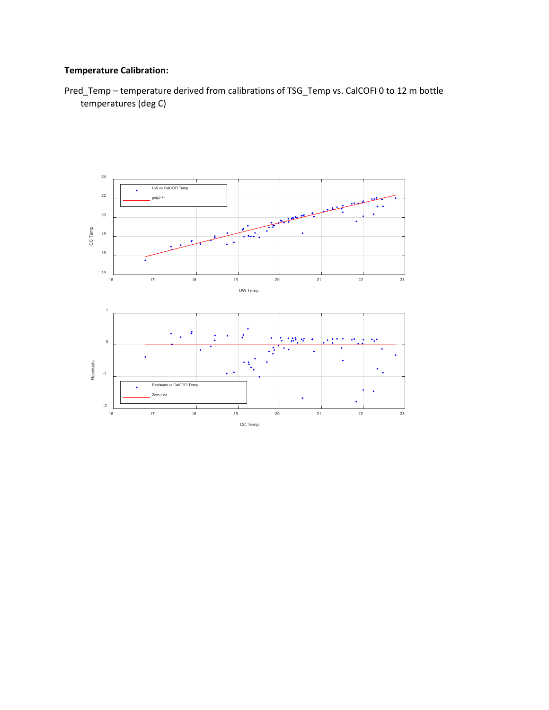## **Temperature Calibration:**

Pred\_Temp – temperature derived from calibrations of TSG\_Temp vs. CalCOFI 0 to 12 m bottle temperatures (deg C)

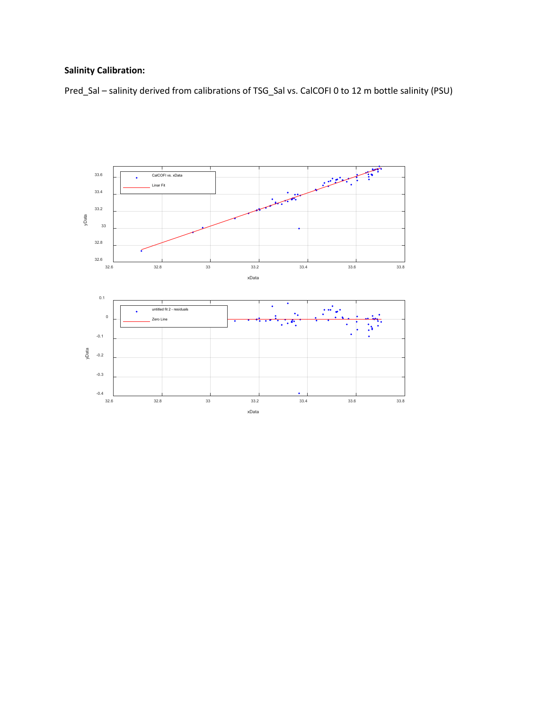## **Salinity Calibration:**

Pred\_Sal – salinity derived from calibrations of TSG\_Sal vs. CalCOFI 0 to 12 m bottle salinity (PSU)